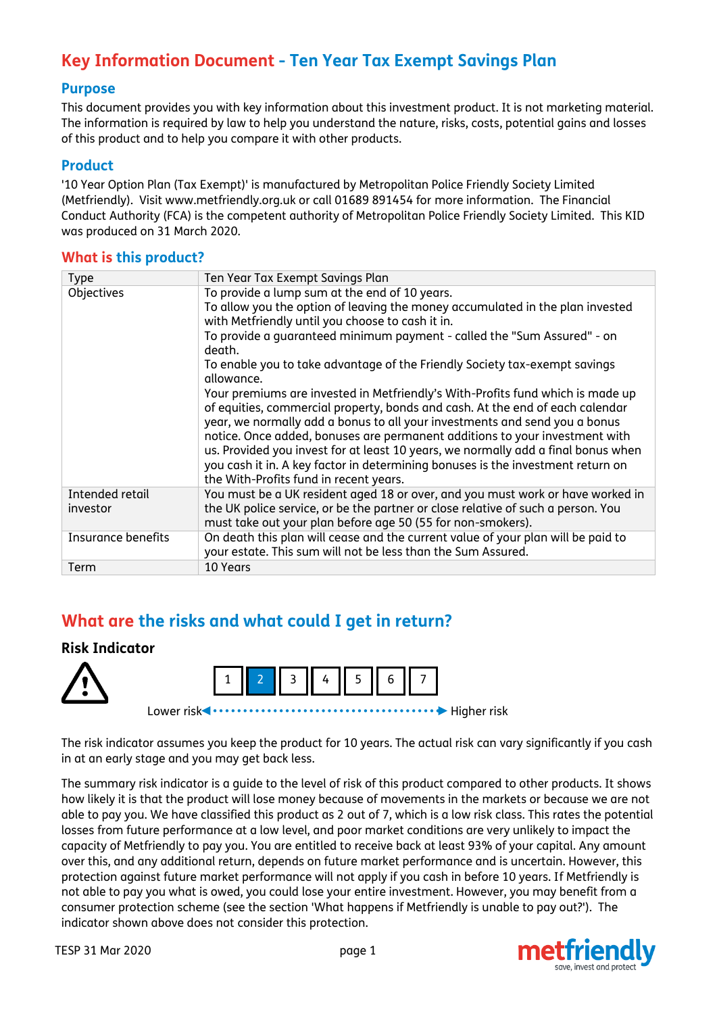# **Key Information Document - Ten Year Tax Exempt Savings Plan**

#### **Purpose**

This document provides you with key information about this investment product. It is not marketing material. The information is required by law to help you understand the nature, risks, costs, potential gains and losses of this product and to help you compare it with other products.

#### **Product**

'10 Year Option Plan (Tax Exempt)' is manufactured by Metropolitan Police Friendly Society Limited (Metfriendly). Visit www.metfriendly.org.uk or call 01689 891454 for more information. The Financial Conduct Authority (FCA) is the competent authority of Metropolitan Police Friendly Society Limited. This KID was produced on 31 March 2020.

#### **What is this product?**

| <b>Type</b>                 | Ten Year Tax Exempt Savings Plan                                                                                                                                                                                                                                                                                                                                                                                                                                                                                                                                                                                                                                                                                                                                                                                                                                                                                      |
|-----------------------------|-----------------------------------------------------------------------------------------------------------------------------------------------------------------------------------------------------------------------------------------------------------------------------------------------------------------------------------------------------------------------------------------------------------------------------------------------------------------------------------------------------------------------------------------------------------------------------------------------------------------------------------------------------------------------------------------------------------------------------------------------------------------------------------------------------------------------------------------------------------------------------------------------------------------------|
| Objectives                  | To provide a lump sum at the end of 10 years.<br>To allow you the option of leaving the money accumulated in the plan invested<br>with Metfriendly until you choose to cash it in.<br>To provide a quaranteed minimum payment - called the "Sum Assured" - on<br>death.<br>To enable you to take advantage of the Friendly Society tax-exempt savings<br>allowance.<br>Your premiums are invested in Metfriendly's With-Profits fund which is made up<br>of equities, commercial property, bonds and cash. At the end of each calendar<br>year, we normally add a bonus to all your investments and send you a bonus<br>notice. Once added, bonuses are permanent additions to your investment with<br>us. Provided you invest for at least 10 years, we normally add a final bonus when<br>you cash it in. A key factor in determining bonuses is the investment return on<br>the With-Profits fund in recent years. |
| Intended retail<br>investor | You must be a UK resident aged 18 or over, and you must work or have worked in<br>the UK police service, or be the partner or close relative of such a person. You<br>must take out your plan before age 50 (55 for non-smokers).                                                                                                                                                                                                                                                                                                                                                                                                                                                                                                                                                                                                                                                                                     |
| Insurance benefits          | On death this plan will cease and the current value of your plan will be paid to<br>your estate. This sum will not be less than the Sum Assured.                                                                                                                                                                                                                                                                                                                                                                                                                                                                                                                                                                                                                                                                                                                                                                      |
| Term                        | 10 Years                                                                                                                                                                                                                                                                                                                                                                                                                                                                                                                                                                                                                                                                                                                                                                                                                                                                                                              |

# **What are the risks and what could I get in return?**

### **Risk Indicator**





Lower risk Higher risk

The risk indicator assumes you keep the product for 10 years. The actual risk can vary significantly if you cash in at an early stage and you may get back less.

The summary risk indicator is a guide to the level of risk of this product compared to other products. It shows how likely it is that the product will lose money because of movements in the markets or because we are not able to pay you. We have classified this product as 2 out of 7, which is a low risk class. This rates the potential losses from future performance at a low level, and poor market conditions are very unlikely to impact the capacity of Metfriendly to pay you. You are entitled to receive back at least 93% of your capital. Any amount over this, and any additional return, depends on future market performance and is uncertain. However, this protection against future market performance will not apply if you cash in before 10 years. If Metfriendly is not able to pay you what is owed, you could lose your entire investment. However, you may benefit from a consumer protection scheme (see the section 'What happens if Metfriendly is unable to pay out?'). The indicator shown above does not consider this protection.

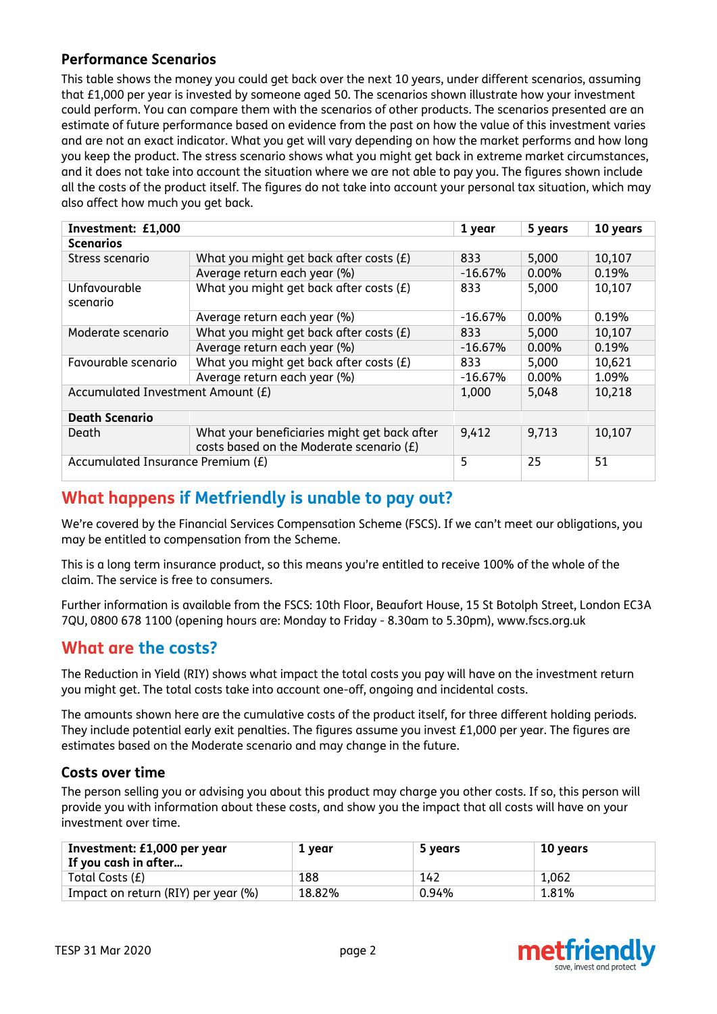### **Performance Scenarios**

This table shows the money you could get back over the next 10 years, under different scenarios, assuming that £1,000 per year is invested by someone aged 50. The scenarios shown illustrate how your investment could perform. You can compare them with the scenarios of other products. The scenarios presented are an estimate of future performance based on evidence from the past on how the value of this investment varies and are not an exact indicator. What you get will vary depending on how the market performs and how long you keep the product. The stress scenario shows what you might get back in extreme market circumstances, and it does not take into account the situation where we are not able to pay you. The figures shown include all the costs of the product itself. The figures do not take into account your personal tax situation, which may also affect how much you get back.

| Investment: £1,000                |                                                                                          | 1 year    | 5 years  | 10 years |  |  |  |
|-----------------------------------|------------------------------------------------------------------------------------------|-----------|----------|----------|--|--|--|
| <b>Scenarios</b>                  |                                                                                          |           |          |          |  |  |  |
| Stress scenario                   | What you might get back after costs $(E)$                                                | 833       | 5,000    | 10,107   |  |  |  |
|                                   | Average return each year (%)                                                             | $-16.67%$ | $0.00\%$ | 0.19%    |  |  |  |
| Unfavourable<br>scenario          | What you might get back after costs (£)                                                  | 833       | 5,000    | 10,107   |  |  |  |
|                                   | Average return each year (%)                                                             | $-16.67%$ | 0.00%    | 0.19%    |  |  |  |
| Moderate scenario                 | What you might get back after costs $(E)$                                                | 833       | 5,000    | 10,107   |  |  |  |
|                                   | Average return each year (%)                                                             | $-16.67%$ | 0.00%    | 0.19%    |  |  |  |
| Favourable scenario               | What you might get back after costs $(E)$                                                | 833       | 5,000    | 10,621   |  |  |  |
|                                   | Average return each year (%)                                                             | $-16.67%$ | 0.00%    | 1.09%    |  |  |  |
| Accumulated Investment Amount (£) | 1,000                                                                                    | 5,048     | 10,218   |          |  |  |  |
| <b>Death Scenario</b>             |                                                                                          |           |          |          |  |  |  |
| Death                             | What your beneficiaries might get back after<br>costs based on the Moderate scenario (£) | 9,412     | 9,713    | 10,107   |  |  |  |
| Accumulated Insurance Premium (£) | 5                                                                                        | 25        | 51       |          |  |  |  |

# **What happens if Metfriendly is unable to pay out?**

We're covered by the Financial Services Compensation Scheme (FSCS). If we can't meet our obligations, you may be entitled to compensation from the Scheme.

This is a long term insurance product, so this means you're entitled to receive 100% of the whole of the claim. The service is free to consumers.

Further information is available from the FSCS: 10th Floor, Beaufort House, 15 St Botolph Street, London EC3A 7QU, 0800 678 1100 (opening hours are: Monday to Friday - 8.30am to 5.30pm), www.fscs.org.uk

## **What are the costs?**

The Reduction in Yield (RIY) shows what impact the total costs you pay will have on the investment return you might get. The total costs take into account one-off, ongoing and incidental costs.

The amounts shown here are the cumulative costs of the product itself, for three different holding periods. They include potential early exit penalties. The figures assume you invest £1,000 per year. The figures are estimates based on the Moderate scenario and may change in the future.

### **Costs over time**

The person selling you or advising you about this product may charge you other costs. If so, this person will provide you with information about these costs, and show you the impact that all costs will have on your investment over time.

| Investment: £1,000 per year<br>$^{\shortmid}$ If you cash in after | 1 year | 5 years | 10 years |
|--------------------------------------------------------------------|--------|---------|----------|
| Total Costs (£)                                                    | 188    | 142     | 1,062    |
| Impact on return (RIY) per year (%)                                | 18.82% | 0.94%   | 1.81%    |